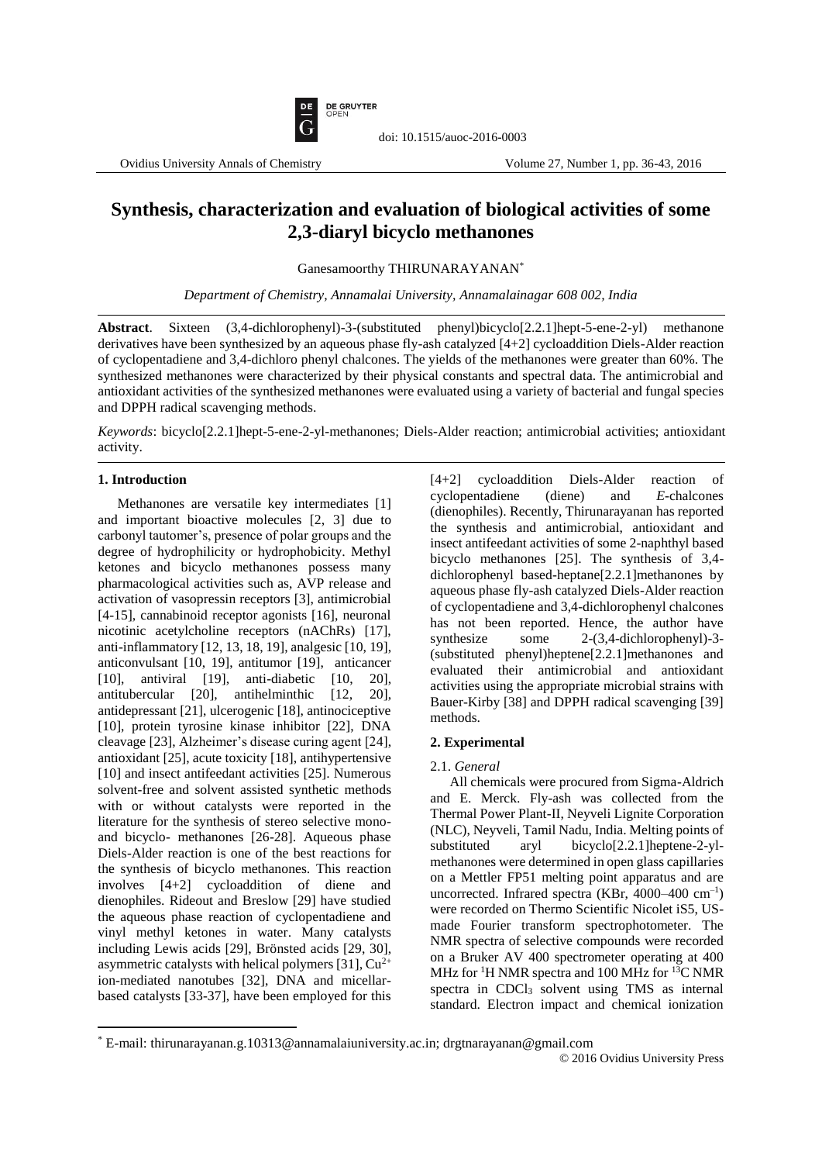

# **Synthesis, characterization and evaluation of biological activities of some 2,3-diaryl bicyclo methanones**

doi: 10.1515/auoc-2016-0003

Ganesamoorthy THIRUNARAYANAN\*

*Department of Chemistry, Annamalai University, Annamalainagar 608 002, India*

**Abstract**. Sixteen (3,4-dichlorophenyl)-3-(substituted phenyl)bicyclo[2.2.1]hept-5-ene-2-yl) methanone derivatives have been synthesized by an aqueous phase fly-ash catalyzed [4+2] cycloaddition Diels-Alder reaction of cyclopentadiene and 3,4-dichloro phenyl chalcones. The yields of the methanones were greater than 60%. The synthesized methanones were characterized by their physical constants and spectral data. The antimicrobial and antioxidant activities of the synthesized methanones were evaluated using a variety of bacterial and fungal species and DPPH radical scavenging methods.

*Keywords*: bicyclo[2.2.1]hept-5-ene-2-yl-methanones; Diels-Alder reaction; antimicrobial activities; antioxidant activity.

### **1. Introduction**

 $\overline{a}$ 

Methanones are versatile key intermediates [1] and important bioactive molecules [2, 3] due to carbonyl tautomer's, presence of polar groups and the degree of hydrophilicity or hydrophobicity. Methyl ketones and bicyclo methanones possess many pharmacological activities such as, AVP release and activation of vasopressin receptors [3], antimicrobial [4-15], cannabinoid receptor agonists [16], neuronal nicotinic acetylcholine receptors (nAChRs) [17], anti-inflammatory [12, 13, 18, 19], analgesic [10, 19], anticonvulsant [10, 19], antitumor [19], anticancer [10], antiviral [19], anti-diabetic [10, 20], antitubercular [20], antihelminthic [12, 20], antidepressant [21], ulcerogenic [18], antinociceptive [10], protein tyrosine kinase inhibitor [22], DNA cleavage [23], Alzheimer's disease curing agent [24], antioxidant [25], acute toxicity [18], antihypertensive [10] and insect antifeedant activities [25]. Numerous solvent-free and solvent assisted synthetic methods with or without catalysts were reported in the literature for the synthesis of stereo selective monoand bicyclo- methanones [26-28]. Aqueous phase Diels-Alder reaction is one of the best reactions for the synthesis of bicyclo methanones. This reaction involves [4+2] cycloaddition of diene and dienophiles. Rideout and Breslow [29] have studied the aqueous phase reaction of cyclopentadiene and vinyl methyl ketones in water. Many catalysts including Lewis acids [29], Brönsted acids [29, 30], asymmetric catalysts with helical polymers [31],  $Cu^{2+}$ ion-mediated nanotubes [32], DNA and micellarbased catalysts [33-37], have been employed for this [4+2] cycloaddition Diels-Alder reaction of cyclopentadiene (diene) and *E*-chalcones (dienophiles). Recently, Thirunarayanan has reported the synthesis and antimicrobial, antioxidant and insect antifeedant activities of some 2-naphthyl based bicyclo methanones [25]. The synthesis of 3,4 dichlorophenyl based-heptane[2.2.1]methanones by aqueous phase fly-ash catalyzed Diels-Alder reaction of cyclopentadiene and 3,4-dichlorophenyl chalcones has not been reported. Hence, the author have synthesize some 2-(3,4-dichlorophenyl)-3- (substituted phenyl)heptene[2.2.1]methanones and evaluated their antimicrobial and antioxidant activities using the appropriate microbial strains with Bauer-Kirby [38] and DPPH radical scavenging [39] methods.

### **2. Experimental**

#### 2.1. *General*

All chemicals were procured from Sigma-Aldrich and E. Merck. Fly-ash was collected from the Thermal Power Plant-II, Neyveli Lignite Corporation (NLC), Neyveli, Tamil Nadu, India. Melting points of substituted aryl bicyclo[2.2.1]heptene-2-ylmethanones were determined in open glass capillaries on a Mettler FP51 melting point apparatus and are uncorrected. Infrared spectra (KBr, 4000–400 cm<sup>-1</sup>) were recorded on Thermo Scientific Nicolet iS5, USmade Fourier transform spectrophotometer. The NMR spectra of selective compounds were recorded on a Bruker AV 400 spectrometer operating at 400 MHz for <sup>1</sup>H NMR spectra and 100 MHz for <sup>13</sup>C NMR spectra in CDCl<sub>3</sub> solvent using TMS as internal standard. Electron impact and chemical ionization

<sup>\*</sup> E-mail: thirunarayanan.g.10313@annamalaiuniversity.ac.in; drgtnarayanan@gmail.com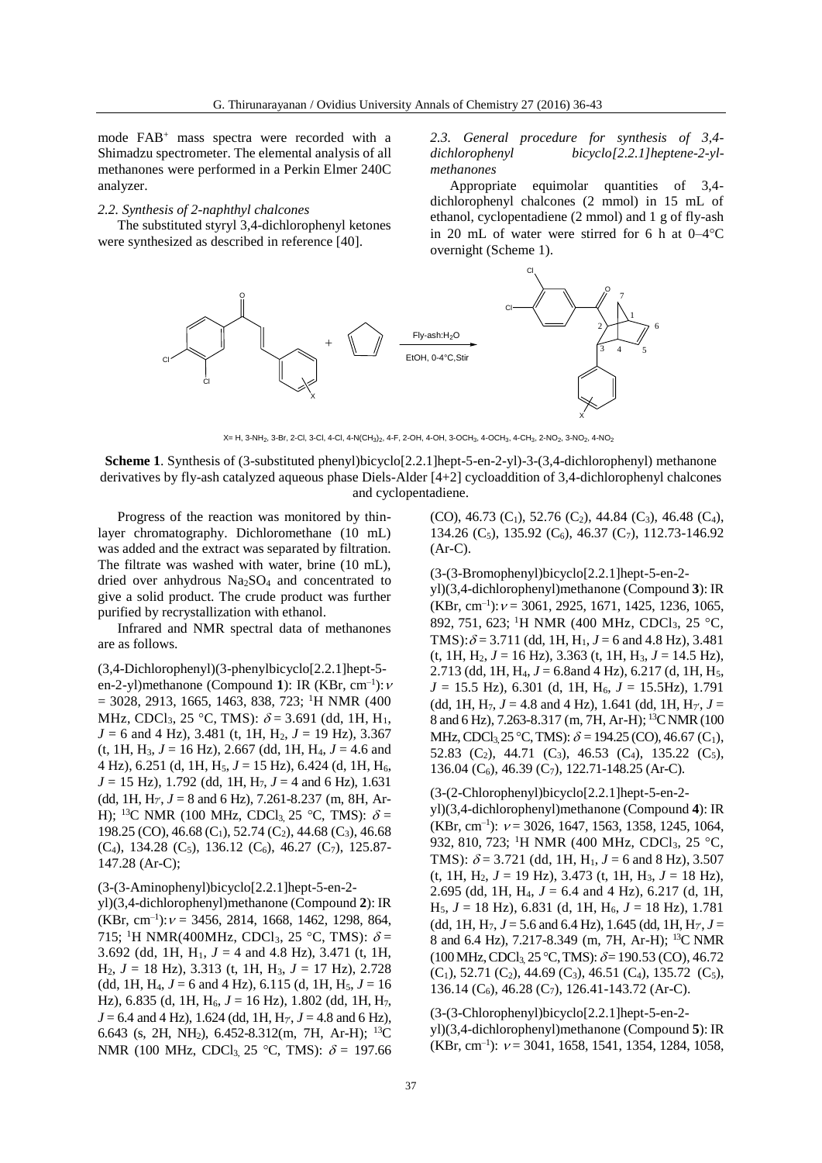mode FAB<sup>+</sup> mass spectra were recorded with a Shimadzu spectrometer. The elemental analysis of all methanones were performed in a Perkin Elmer 240C analyzer.

# *2.2. Synthesis of 2-naphthyl chalcones*

The substituted styryl 3,4-dichlorophenyl ketones were synthesized as described in reference [40].

*2.3. General procedure for synthesis of 3,4 dichlorophenyl bicyclo[2.2.1]heptene-2-ylmethanones*

Appropriate equimolar quantities of 3,4 dichlorophenyl chalcones (2 mmol) in 15 mL of ethanol, cyclopentadiene (2 mmol) and 1 g of fly-ash in 20 mL of water were stirred for 6 h at  $0-4$ °C overnight (Scheme 1).



X= H, 3-NH<sub>2</sub>, 3-Br, 2-Cl, 3-Cl, 4-Cl, 4-N(CH<sub>3</sub>)<sub>2</sub>, 4-F, 2-OH, 4-OH, 3-OCH<sub>3</sub>, 4-OCH<sub>3</sub>, 4-CH<sub>3</sub>, 2-NO<sub>2</sub>, 3-NO<sub>2</sub>, 4-NO<sub>2</sub>

**Scheme 1**. Synthesis of (3-substituted phenyl)bicyclo[2.2.1]hept-5-en-2-yl)-3-(3,4-dichlorophenyl) methanone derivatives by fly-ash catalyzed aqueous phase Diels-Alder [4+2] cycloaddition of 3,4-dichlorophenyl chalcones and cyclopentadiene.

Progress of the reaction was monitored by thinlayer chromatography. Dichloromethane (10 mL) was added and the extract was separated by filtration. The filtrate was washed with water, brine (10 mL), dried over anhydrous Na<sub>2</sub>SO<sub>4</sub> and concentrated to give a solid product. The crude product was further purified by recrystallization with ethanol.

Infrared and NMR spectral data of methanones are as follows.

(3,4-Dichlorophenyl)(3-phenylbicyclo[2.2.1]hept-5 en-2-yl)methanone (Compound 1): IR (KBr, cm<sup>-1</sup>):  $\nu$  $=$  3028, 2913, 1665, 1463, 838, 723; <sup>1</sup>H NMR (400) MHz, CDCl<sub>3</sub>, 25 °C, TMS):  $\delta$  = 3.691 (dd, 1H, H<sub>1</sub>,  $J = 6$  and 4 Hz), 3.481 (t, 1H, H<sub>2</sub>,  $J = 19$  Hz), 3.367  $(t, 1H, H_3, J = 16 Hz)$ , 2.667 (dd, 1H, H<sub>4</sub>,  $J = 4.6$  and 4 Hz),  $6.251$  (d, 1H, H<sub>5</sub>,  $J = 15$  Hz),  $6.424$  (d, 1H, H<sub>6</sub>,  $J = 15$  Hz), 1.792 (dd, 1H, H<sub>7</sub>,  $J = 4$  and 6 Hz), 1.631 (dd, 1H,  $H_{7}$ ,  $J = 8$  and 6 Hz), 7.261-8.237 (m, 8H, Ar-H); <sup>13</sup>C NMR (100 MHz, CDCl<sub>3</sub>, 25 °C, TMS):  $\delta$  = 198.25 (CO), 46.68 (C<sub>1</sub>), 52.74 (C<sub>2</sub>), 44.68 (C<sub>3</sub>), 46.68 (C<sub>4</sub>), 134.28 (C<sub>5</sub>), 136.12 (C<sub>6</sub>), 46.27 (C<sub>7</sub>), 125.87-147.28 (Ar-C);

# (3-(3-Aminophenyl)bicyclo[2.2.1]hept-5-en-2-

yl)(3,4-dichlorophenyl)methanone (Compound **2**): IR  $(KBr, cm^{-1})$ :  $v = 3456, 2814, 1668, 1462, 1298, 864,$ 715; <sup>1</sup>H NMR(400MHz, CDCl<sub>3</sub>, 25 °C, TMS):  $\delta$  = 3.692 (dd, 1H,  $H_1$ ,  $J = 4$  and 4.8 Hz), 3.471 (t, 1H, H2, *J* = 18 Hz), 3.313 (t, 1H, H3, *J* = 17 Hz), 2.728 (dd, 1H, H<sub>4</sub>,  $J = 6$  and 4 Hz), 6.115 (d, 1H, H<sub>5</sub>,  $J = 16$ Hz), 6.835 (d, 1H, H<sub>6</sub>, *J* = 16 Hz), 1.802 (dd, 1H, H<sub>7</sub>,  $J = 6.4$  and 4 Hz), 1.624 (dd, 1H, H<sub>7</sub>',  $J = 4.8$  and 6 Hz), 6.643 (s, 2H, NH<sub>2</sub>), 6.452-8.312(m, 7H, Ar-H); <sup>13</sup>C NMR (100 MHz, CDCl<sub>3</sub> 25 °C, TMS):  $\delta = 197.66$ 

 $(CO)$ , 46.73  $(C_1)$ , 52.76  $(C_2)$ , 44.84  $(C_3)$ , 46.48  $(C_4)$ , 134.26 (C<sub>5</sub>), 135.92 (C<sub>6</sub>), 46.37 (C<sub>7</sub>), 112.73-146.92 (Ar-C).

(3-(3-Bromophenyl)bicyclo[2.2.1]hept-5-en-2 yl)(3,4-dichlorophenyl)methanone (Compound **3**): IR  $(KBr, cm^{-1})$ :  $v = 3061, 2925, 1671, 1425, 1236, 1065,$ 892, 751, 623; <sup>1</sup>H NMR (400 MHz, CDCl<sub>3</sub>, 25 °C, TMS):  $\delta$  = 3.711 (dd, 1H, H<sub>1</sub>, J = 6 and 4.8 Hz), 3.481  $(t, 1H, H<sub>2</sub>, J = 16 Hz), 3.363 (t, 1H, H<sub>3</sub>, J = 14.5 Hz),$ 2.713 (dd, 1H, H4, *J* = 6.8and 4 Hz), 6.217 (d, 1H, H5,  $J = 15.5$  Hz), 6.301 (d, 1H, H<sub>6</sub>,  $J = 15.5$ Hz), 1.791 (dd, 1H,  $H_7$ ,  $J = 4.8$  and 4 Hz), 1.641 (dd, 1H,  $H_{7}$ ,  $J =$ 8 and 6 Hz), 7.263-8.317 (m, 7H, Ar-H); <sup>13</sup>C NMR (100) MHz, CDCl<sub>3</sub>, 25 °C, TMS):  $\delta$  = 194.25 (CO), 46.67 (C<sub>1</sub>), 52.83 (C<sub>2</sub>), 44.71 (C<sub>3</sub>), 46.53 (C<sub>4</sub>), 135.22 (C<sub>5</sub>), 136.04 (C6), 46.39 (C7), 122.71-148.25 (Ar-C).

# (3-(2-Chlorophenyl)bicyclo[2.2.1]hept-5-en-2 yl)(3,4-dichlorophenyl)methanone (Compound **4**): IR  $(KBr, cm^{-1})$ :  $v = 3026, 1647, 1563, 1358, 1245, 1064,$ 932, 810, 723; <sup>1</sup>H NMR (400 MHz, CDCl<sub>3</sub>, 25 °C, TMS):  $\delta$  = 3.721 (dd, 1H, H<sub>1</sub>, J = 6 and 8 Hz), 3.507 (t, 1H,  $H_2$ ,  $J = 19$  Hz), 3.473 (t, 1H,  $H_3$ ,  $J = 18$  Hz), 2.695 (dd, 1H, H<sub>4</sub>,  $J = 6.4$  and 4 Hz), 6.217 (d, 1H,  $H_5$ ,  $J = 18$  Hz), 6.831 (d, 1H,  $H_6$ ,  $J = 18$  Hz), 1.781 (dd, 1H,  $H_7$ ,  $J = 5.6$  and 6.4 Hz), 1.645 (dd, 1H,  $H_{7}$ ,  $J =$ 8 and 6.4 Hz), 7.217-8.349 (m, 7H, Ar-H); <sup>13</sup>C NMR  $(100 \text{ MHz}, \text{CDCl}_3, 25 \text{ °C}, \text{TMS})$ :  $\delta = 190.53 \text{ (CO)}$ , 46.72  $(C_1)$ , 52.71  $(C_2)$ , 44.69  $(C_3)$ , 46.51  $(C_4)$ , 135.72  $(C_5)$ , 136.14 ( $C_6$ ), 46.28 ( $C_7$ ), 126.41-143.72 (Ar-C).

(3-(3-Chlorophenyl)bicyclo[2.2.1]hept-5-en-2 yl)(3,4-dichlorophenyl)methanone (Compound **5**): IR  $(KBr, cm^{-1})$ :  $v = 3041, 1658, 1541, 1354, 1284, 1058,$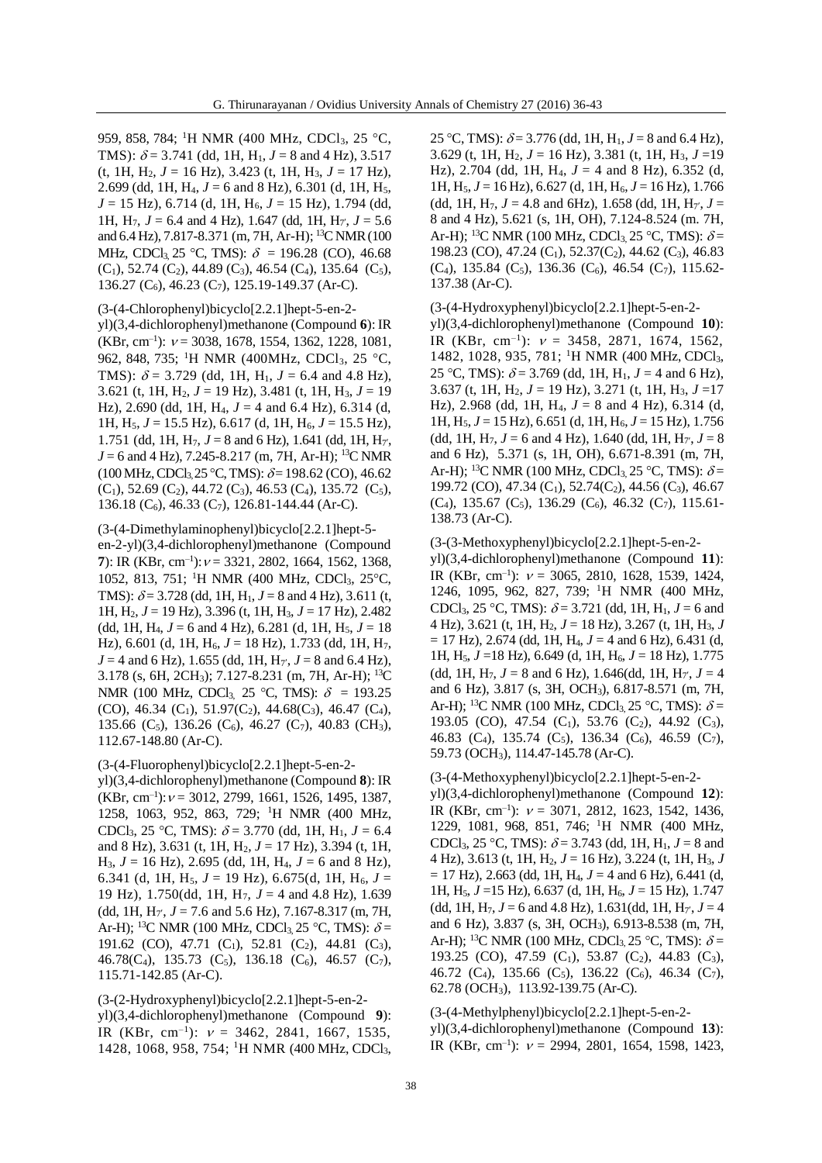959, 858, 784; <sup>1</sup>H NMR (400 MHz, CDCl<sub>3</sub>, 25 °C, TMS):  $\delta = 3.741$  (dd, 1H, H<sub>1</sub>,  $J = 8$  and 4 Hz), 3.517 (t, 1H,  $H_2$ ,  $J = 16$  Hz), 3.423 (t, 1H,  $H_3$ ,  $J = 17$  Hz), 2.699 (dd, 1H, H4, *J* = 6 and 8 Hz), 6.301 (d, 1H, H5, *J* = 15 Hz), 6.714 (d, 1H, H<sub>6</sub>, *J* = 15 Hz), 1.794 (dd, 1H,  $H_7$ ,  $J = 6.4$  and 4 Hz), 1.647 (dd, 1H,  $H_7$ ,  $J = 5.6$ and 6.4 Hz), 7.817-8.371 (m, 7H, Ar-H); <sup>13</sup>C NMR (100 MHz, CDCl<sub>3</sub> 25 °C, TMS):  $\delta = 196.28$  (CO), 46.68  $(C_1)$ , 52.74  $(C_2)$ , 44.89  $(C_3)$ , 46.54  $(C_4)$ , 135.64  $(C_5)$ , 136.27 ( $C_6$ ), 46.23 ( $C_7$ ), 125.19-149.37 (Ar-C).

#### (3-(4-Chlorophenyl)bicyclo[2.2.1]hept-5-en-2-

yl)(3,4-dichlorophenyl)methanone (Compound **6**): IR  $(KBr, cm^{-1})$ :  $v = 3038, 1678, 1554, 1362, 1228, 1081,$ 962, 848, 735; <sup>1</sup>H NMR (400MHz, CDCl<sub>3</sub>, 25 °C, TMS):  $\delta = 3.729$  (dd, 1H, H<sub>1</sub>,  $J = 6.4$  and 4.8 Hz), 3.621 (t, 1H,  $H_2$ ,  $J = 19$  Hz), 3.481 (t, 1H,  $H_3$ ,  $J = 19$ Hz), 2.690 (dd, 1H, H<sub>4</sub>,  $J = 4$  and 6.4 Hz), 6.314 (d, 1H,  $H_5$ ,  $J = 15.5$  Hz), 6.617 (d, 1H,  $H_6$ ,  $J = 15.5$  Hz), 1.751 (dd, 1H, H<sub>7</sub>,  $J = 8$  and 6 Hz), 1.641 (dd, 1H, H<sub>7</sub>,  $J = 6$  and 4 Hz), 7.245-8.217 (m, 7H, Ar-H); <sup>13</sup>C NMR  $(100 \text{ MHz}, \text{CDCl}_3, 25 \text{ °C}, \text{TMS})$ :  $\delta = 198.62 \text{ (CO)}$ , 46.62  $(C_1)$ , 52.69  $(C_2)$ , 44.72  $(C_3)$ , 46.53  $(C_4)$ , 135.72  $(C_5)$ , 136.18 (C6), 46.33 (C7), 126.81-144.44 (Ar-C).

(3-(4-Dimethylaminophenyl)bicyclo[2.2.1]hept-5 en-2-yl)(3,4-dichlorophenyl)methanone (Compound 7): IR (KBr, cm<sup>-1</sup>):  $v = 3321, 2802, 1664, 1562, 1368,$ 1052, 813, 751; <sup>1</sup>H NMR (400 MHz, CDCl<sub>3</sub>, 25°C, TMS):  $\delta$  = 3.728 (dd, 1H, H<sub>1</sub>, J = 8 and 4 Hz), 3.611 (t, 1H, H2, *J* = 19 Hz), 3.396 (t, 1H, H3, *J* = 17 Hz), 2.482 (dd, 1H, H<sub>4</sub>,  $J = 6$  and 4 Hz), 6.281 (d, 1H, H<sub>5</sub>,  $J = 18$ Hz), 6.601 (d, 1H, H<sub>6</sub>, *J* = 18 Hz), 1.733 (dd, 1H, H<sub>7</sub>,  $J = 4$  and 6 Hz), 1.655 (dd, 1H, H<sub>7'</sub>,  $J = 8$  and 6.4 Hz), 3.178 (s, 6H, 2CH3); 7.127-8.231 (m, 7H, Ar-H); <sup>13</sup>C NMR (100 MHz, CDCl<sub>3,</sub> 25 °C, TMS):  $\delta = 193.25$  $(CO)$ , 46.34  $(C_1)$ , 51.97 $(C_2)$ , 44.68 $(C_3)$ , 46.47  $(C_4)$ , 135.66 (C<sub>5</sub>), 136.26 (C<sub>6</sub>), 46.27 (C<sub>7</sub>), 40.83 (CH<sub>3</sub>), 112.67-148.80 (Ar-C).

# (3-(4-Fluorophenyl)bicyclo[2.2.1]hept-5-en-2 yl)(3,4-dichlorophenyl)methanone (Compound **8**): IR

 $(KBr, cm^{-1})$ :  $v = 3012, 2799, 1661, 1526, 1495, 1387,$ 1258, 1063, 952, 863, 729; <sup>1</sup>H NMR (400 MHz, CDCl<sub>3</sub>, 25 °C, TMS):  $\delta$  = 3.770 (dd, 1H, H<sub>1</sub>, J = 6.4) and 8 Hz), 3.631 (t, 1H, H2, *J* = 17 Hz), 3.394 (t, 1H, H3, *J* = 16 Hz), 2.695 (dd, 1H, H4, *J* = 6 and 8 Hz), 6.341 (d, 1H, H<sub>5</sub>,  $J = 19$  Hz), 6.675(d, 1H, H<sub>6</sub>,  $J =$ 19 Hz), 1.750(dd, 1H, H7, *J* = 4 and 4.8 Hz), 1.639 (dd, 1H,  $H_{7}$ ,  $J = 7.6$  and 5.6 Hz), 7.167-8.317 (m, 7H, Ar-H); <sup>13</sup>C NMR (100 MHz, CDCl<sub>3,</sub> 25 °C, TMS):  $\delta$  = 191.62 (CO), 47.71 (C<sub>1</sub>), 52.81 (C<sub>2</sub>), 44.81 (C<sub>3</sub>), 46.78(C<sub>4</sub>), 135.73 (C<sub>5</sub>), 136.18 (C<sub>6</sub>), 46.57 (C<sub>7</sub>), 115.71-142.85 (Ar-C).

(3-(2-Hydroxyphenyl)bicyclo[2.2.1]hept-5-en-2 yl)(3,4-dichlorophenyl)methanone (Compound **9**): IR (KBr, cm<sup>-1</sup>):  $v = 3462, 2841, 1667, 1535,$ 1428, 1068, 958, 754; <sup>1</sup>H NMR (400 MHz, CDCl3,

25 °C, TMS):  $\delta$  = 3.776 (dd, 1H, H<sub>1</sub>, J = 8 and 6.4 Hz), 3.629 (t, 1H,  $H_2$ ,  $J = 16$  Hz), 3.381 (t, 1H,  $H_3$ ,  $J = 19$ Hz), 2.704 (dd, 1H, H4, *J* = 4 and 8 Hz), 6.352 (d, 1H, H5, *J* = 16 Hz), 6.627 (d, 1H, H6, *J* = 16 Hz), 1.766 (dd, 1H,  $H_7$ ,  $J = 4.8$  and 6Hz), 1.658 (dd, 1H,  $H_{7}$ ,  $J =$ 8 and 4 Hz), 5.621 (s, 1H, OH), 7.124-8.524 (m. 7H, Ar-H); <sup>13</sup>C NMR (100 MHz, CDCl<sub>3</sub>, 25 °C, TMS):  $\delta$  = 198.23 (CO), 47.24 (C<sub>1</sub>), 52.37(C<sub>2</sub>), 44.62 (C<sub>3</sub>), 46.83  $(C_4)$ , 135.84  $(C_5)$ , 136.36  $(C_6)$ , 46.54  $(C_7)$ , 115.62-137.38 (Ar-C).

# (3-(4-Hydroxyphenyl)bicyclo[2.2.1]hept-5-en-2-

yl)(3,4-dichlorophenyl)methanone (Compound **10**): IR (KBr, cm<sup>-1</sup>):  $v = 3458$ , 2871, 1674, 1562, 1482, 1028, 935, 781; <sup>1</sup>H NMR (400 MHz, CDCl3, 25 °C, TMS):  $\delta = 3.769$  (dd, 1H, H<sub>1</sub>,  $J = 4$  and 6 Hz), 3.637 (t, 1H,  $H_2$ ,  $J = 19$  Hz), 3.271 (t, 1H,  $H_3$ ,  $J = 17$ Hz), 2.968 (dd, 1H, H<sub>4</sub>,  $J = 8$  and 4 Hz), 6.314 (d, 1H, H<sub>5</sub>, *J* = 15 Hz), 6.651 (d, 1H, H<sub>6</sub>, *J* = 15 Hz), 1.756 (dd, 1H,  $H_7$ ,  $J = 6$  and 4 Hz), 1.640 (dd, 1H,  $H_{7}$ ,  $J = 8$ and 6 Hz), 5.371 (s, 1H, OH), 6.671-8.391 (m, 7H, Ar-H); <sup>13</sup>C NMR (100 MHz, CDCl<sub>3</sub>, 25 °C, TMS):  $\delta$  = 199.72 (CO), 47.34 (C<sub>1</sub>), 52.74(C<sub>2</sub>), 44.56 (C<sub>3</sub>), 46.67  $(C_4)$ , 135.67  $(C_5)$ , 136.29  $(C_6)$ , 46.32  $(C_7)$ , 115.61-138.73 (Ar-C).

(3-(3-Methoxyphenyl)bicyclo[2.2.1]hept-5-en-2 yl)(3,4-dichlorophenyl)methanone (Compound **11**): IR (KBr, cm<sup>-1</sup>):  $v = 3065$ , 2810, 1628, 1539, 1424, 1246, 1095, 962, 827, 739; <sup>1</sup>H NMR (400 MHz, CDCl<sub>3</sub>, 25 °C, TMS):  $\delta$  = 3.721 (dd, 1H, H<sub>1</sub>, J = 6 and 4 Hz), 3.621 (t, 1H, H<sub>2</sub>,  $J = 18$  Hz), 3.267 (t, 1H, H<sub>3</sub>, *J*  $= 17$  Hz), 2.674 (dd, 1H, H<sub>4</sub>,  $J = 4$  and 6 Hz), 6.431 (d, 1H, H<sub>5</sub>, *J* =18 Hz), 6.649 (d, 1H, H<sub>6</sub>, *J* = 18 Hz), 1.775 (dd, 1H,  $H_7$ ,  $J = 8$  and 6 Hz), 1.646(dd, 1H,  $H_{7}$ ,  $J = 4$ and 6 Hz), 3.817 (s, 3H, OCH3), 6.817-8.571 (m, 7H, Ar-H); <sup>13</sup>C NMR (100 MHz, CDCl<sub>3</sub>, 25 °C, TMS):  $\delta$  = 193.05 (CO), 47.54 (C<sub>1</sub>), 53.76 (C<sub>2</sub>), 44.92 (C<sub>3</sub>), 46.83 (C<sub>4</sub>), 135.74 (C<sub>5</sub>), 136.34 (C<sub>6</sub>), 46.59 (C<sub>7</sub>), 59.73 (OCH3), 114.47-145.78 (Ar-C).

# (3-(4-Methoxyphenyl)bicyclo[2.2.1]hept-5-en-2-

yl)(3,4-dichlorophenyl)methanone (Compound **12**): IR (KBr, cm<sup>-1</sup>):  $v = 3071, 2812, 1623, 1542, 1436,$ 1229, 1081, 968, 851, 746; <sup>1</sup>H NMR (400 MHz, CDCl<sub>3</sub>, 25 °C, TMS):  $\delta$  = 3.743 (dd, 1H, H<sub>1</sub>, J = 8 and 4 Hz), 3.613 (t, 1H, H2, *J* = 16 Hz), 3.224 (t, 1H, H3, *J*  $= 17$  Hz), 2.663 (dd, 1H, H<sub>4</sub>,  $J = 4$  and 6 Hz), 6.441 (d, 1H, H<sub>5</sub>, *J* = 15 Hz), 6.637 (d, 1H, H<sub>6</sub>, *J* = 15 Hz), 1.747 (dd, 1H,  $H_7$ ,  $J = 6$  and 4.8 Hz), 1.631(dd, 1H,  $H_{7}$ ,  $J = 4$ and 6 Hz), 3.837 (s, 3H, OCH3), 6.913-8.538 (m, 7H, Ar-H); <sup>13</sup>C NMR (100 MHz, CDCl<sub>3</sub>, 25 °C, TMS):  $\delta$  = 193.25 (CO), 47.59 (C<sub>1</sub>), 53.87 (C<sub>2</sub>), 44.83 (C<sub>3</sub>), 46.72 (C<sub>4</sub>), 135.66 (C<sub>5</sub>), 136.22 (C<sub>6</sub>), 46.34 (C<sub>7</sub>), 62.78 (OCH3), 113.92-139.75 (Ar-C).

# (3-(4-Methylphenyl)bicyclo[2.2.1]hept-5-en-2-

yl)(3,4-dichlorophenyl)methanone (Compound **13**): IR (KBr, cm<sup>-1</sup>):  $v = 2994, 2801, 1654, 1598, 1423,$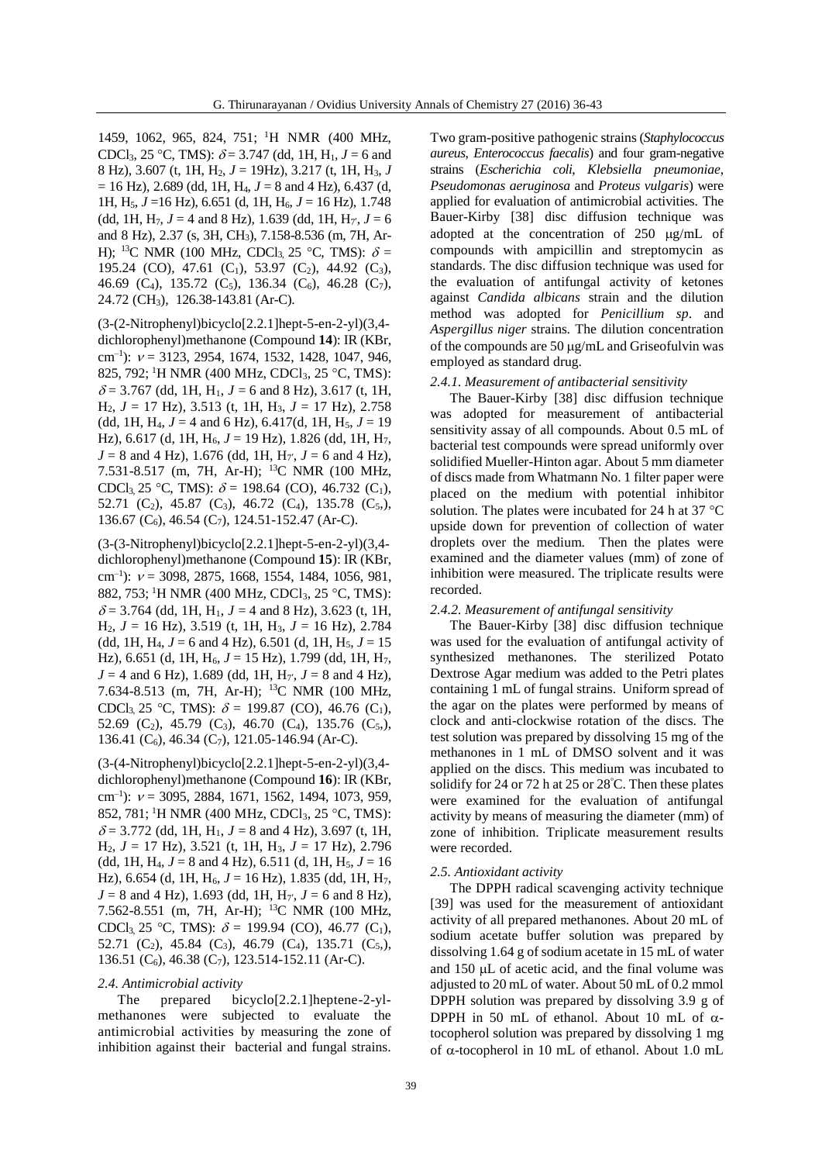1459, 1062, 965, 824, 751; <sup>1</sup>H NMR (400 MHz, CDCl<sub>3</sub>, 25 °C, TMS):  $\delta$  = 3.747 (dd, 1H, H<sub>1</sub>, J = 6 and 8 Hz), 3.607 (t, 1H, H2, *J* = 19Hz), 3.217 (t, 1H, H3, *J*  $= 16$  Hz), 2.689 (dd, 1H, H<sub>4</sub>,  $J = 8$  and 4 Hz), 6.437 (d, 1H, H5, *J* =16 Hz), 6.651 (d, 1H, H6, *J* = 16 Hz), 1.748 (dd, 1H,  $H_7$ ,  $J = 4$  and 8 Hz), 1.639 (dd, 1H,  $H_{7}$ ,  $J = 6$ and 8 Hz), 2.37 (s, 3H, CH3), 7.158-8.536 (m, 7H, Ar-H): <sup>13</sup>C NMR (100 MHz, CDCl<sub>3</sub> 25 °C, TMS):  $\delta$  = 195.24 (CO), 47.61 (C<sub>1</sub>), 53.97 (C<sub>2</sub>), 44.92 (C<sub>3</sub>), 46.69 (C<sub>4</sub>), 135.72 (C<sub>5</sub>), 136.34 (C<sub>6</sub>), 46.28 (C<sub>7</sub>), 24.72 (CH3), 126.38-143.81 (Ar-C).

(3-(2-Nitrophenyl)bicyclo[2.2.1]hept-5-en-2-yl)(3,4 dichlorophenyl)methanone (Compound **14**): IR (KBr, cm<sup>-1</sup>):  $v = 3123, 2954, 1674, 1532, 1428, 1047, 946,$ 825, 792; <sup>1</sup>H NMR (400 MHz, CDCl<sub>3</sub>, 25 °C, TMS):  $\delta$  = 3.767 (dd, 1H, H<sub>1</sub>, J = 6 and 8 Hz), 3.617 (t, 1H,  $H_2$ ,  $J = 17$  Hz), 3.513 (t, 1H, H<sub>3</sub>,  $J = 17$  Hz), 2.758 (dd, 1H, H<sub>4</sub>,  $J = 4$  and 6 Hz), 6.417(d, 1H, H<sub>5</sub>,  $J = 19$ Hz), 6.617 (d, 1H, H<sub>6</sub>, *J* = 19 Hz), 1.826 (dd, 1H, H<sub>7</sub>,  $J = 8$  and 4 Hz), 1.676 (dd, 1H, H<sub>7'</sub>,  $J = 6$  and 4 Hz), 7.531-8.517 (m, 7H, Ar-H); <sup>13</sup>C NMR (100 MHz, CDCl<sub>3</sub>, 25 °C, TMS):  $\delta$  = 198.64 (CO), 46.732 (C<sub>1</sub>), 52.71 (C<sub>2</sub>), 45.87 (C<sub>3</sub>), 46.72 (C<sub>4</sub>), 135.78 (C<sub>5</sub>), 136.67 (C<sub>6</sub>), 46.54 (C<sub>7</sub>), 124.51-152.47 (Ar-C).

(3-(3-Nitrophenyl)bicyclo[2.2.1]hept-5-en-2-yl)(3,4 dichlorophenyl)methanone (Compound **15**): IR (KBr, cm<sup>-1</sup>):  $v = 3098, 2875, 1668, 1554, 1484, 1056, 981,$ 882, 753; <sup>1</sup>H NMR (400 MHz, CDCl<sub>3</sub>, 25 °C, TMS):  $\delta$  = 3.764 (dd, 1H, H<sub>1</sub>, J = 4 and 8 Hz), 3.623 (t, 1H,  $H_2$ ,  $J = 16$  Hz), 3.519 (t, 1H, H<sub>3</sub>,  $J = 16$  Hz), 2.784 (dd, 1H,  $H_4$ ,  $J = 6$  and 4 Hz), 6.501 (d, 1H,  $H_5$ ,  $J = 15$ Hz), 6.651 (d, 1H,  $H_6$ ,  $J = 15$  Hz), 1.799 (dd, 1H,  $H_7$ ,  $J = 4$  and 6 Hz), 1.689 (dd, 1H, H<sub>7</sub>',  $J = 8$  and 4 Hz), 7.634-8.513 (m, 7H, Ar-H); <sup>13</sup>C NMR (100 MHz, CDCl<sub>3</sub>, 25 °C, TMS):  $\delta = 199.87$  (CO), 46.76 (C<sub>1</sub>), 52.69 (C<sub>2</sub>), 45.79 (C<sub>3</sub>), 46.70 (C<sub>4</sub>), 135.76 (C<sub>5</sub>), 136.41 ( $C_6$ ), 46.34 ( $C_7$ ), 121.05-146.94 (Ar-C).

(3-(4-Nitrophenyl)bicyclo[2.2.1]hept-5-en-2-yl)(3,4 dichlorophenyl)methanone (Compound **16**): IR (KBr, cm<sup>-1</sup>):  $v = 3095, 2884, 1671, 1562, 1494, 1073, 959,$ 852, 781; <sup>1</sup>H NMR (400 MHz, CDCl<sub>3</sub>, 25 °C, TMS):  $\delta$  = 3.772 (dd, 1H, H<sub>1</sub>, J = 8 and 4 Hz), 3.697 (t, 1H,  $H_2$ ,  $J = 17$  Hz), 3.521 (t, 1H,  $H_3$ ,  $J = 17$  Hz), 2.796 (dd, 1H,  $H_4$ ,  $J = 8$  and 4 Hz), 6.511 (d, 1H,  $H_5$ ,  $J = 16$ Hz), 6.654 (d, 1H, H6, *J* = 16 Hz), 1.835 (dd, 1H, H7,  $J = 8$  and 4 Hz), 1.693 (dd, 1H, H<sub>7'</sub>,  $J = 6$  and 8 Hz), 7.562-8.551 (m, 7H, Ar-H); <sup>13</sup>C NMR (100 MHz, CDCl<sub>3</sub>, 25 °C, TMS):  $\delta$  = 199.94 (CO), 46.77 (C<sub>1</sub>), 52.71 (C<sub>2</sub>), 45.84 (C<sub>3</sub>), 46.79 (C<sub>4</sub>), 135.71 (C<sub>5</sub>), 136.51 (C<sub>6</sub>), 46.38 (C<sub>7</sub>), 123.514-152.11 (Ar-C).

#### *2.4. Antimicrobial activity*

The prepared bicyclo[2.2.1]heptene-2-ylmethanones were subjected to evaluate the antimicrobial activities by measuring the zone of inhibition against their bacterial and fungal strains.

Two gram-positive pathogenic strains (*Staphylococcus aureus*, *Enterococcus faecalis*) and four gram-negative strains (*Escherichia coli*, *Klebsiella pneumoniae*, *Pseudomonas aeruginosa* and *Proteus vulgaris*) were applied for evaluation of antimicrobial activities. The Bauer-Kirby [38] disc diffusion technique was adopted at the concentration of  $250 \text{ µg/mL}$  of compounds with ampicillin and streptomycin as standards. The disc diffusion technique was used for the evaluation of antifungal activity of ketones against *Candida albicans* strain and the dilution method was adopted for *Penicillium sp*. and *Aspergillus niger* strains*.* The dilution concentration of the compounds are  $50 \mu g/mL$  and Griseofulvin was employed as standard drug.

#### *2.4.1. Measurement of antibacterial sensitivity*

The Bauer-Kirby [38] disc diffusion technique was adopted for measurement of antibacterial sensitivity assay of all compounds. About 0.5 mL of bacterial test compounds were spread uniformly over solidified Mueller-Hinton agar. About 5 mm diameter of discs made from Whatmann No. 1 filter paper were placed on the medium with potential inhibitor solution. The plates were incubated for 24 h at 37  $^{\circ}$ C upside down for prevention of collection of water droplets over the medium. Then the plates were examined and the diameter values (mm) of zone of inhibition were measured. The triplicate results were recorded.

### *2.4.2. Measurement of antifungal sensitivity*

The Bauer-Kirby [38] disc diffusion technique was used for the evaluation of antifungal activity of synthesized methanones. The sterilized Potato Dextrose Agar medium was added to the Petri plates containing 1 mL of fungal strains. Uniform spread of the agar on the plates were performed by means of clock and anti-clockwise rotation of the discs. The test solution was prepared by dissolving 15 mg of the methanones in 1 mL of DMSO solvent and it was applied on the discs. This medium was incubated to solidify for 24 or 72 h at 25 or 28<sup>º</sup>C. Then these plates were examined for the evaluation of antifungal activity by means of measuring the diameter (mm) of zone of inhibition. Triplicate measurement results were recorded.

#### *2.5. Antioxidant activity*

The DPPH radical scavenging activity technique [39] was used for the measurement of antioxidant activity of all prepared methanones. About 20 mL of sodium acetate buffer solution was prepared by dissolving 1.64 g of sodium acetate in 15 mL of water and  $150 \mu L$  of acetic acid, and the final volume was adjusted to 20 mL of water. About 50 mL of 0.2 mmol DPPH solution was prepared by dissolving 3.9 g of DPPH in 50 mL of ethanol. About 10 mL of  $\alpha$ tocopherol solution was prepared by dissolving 1 mg of  $\alpha$ -tocopherol in 10 mL of ethanol. About 1.0 mL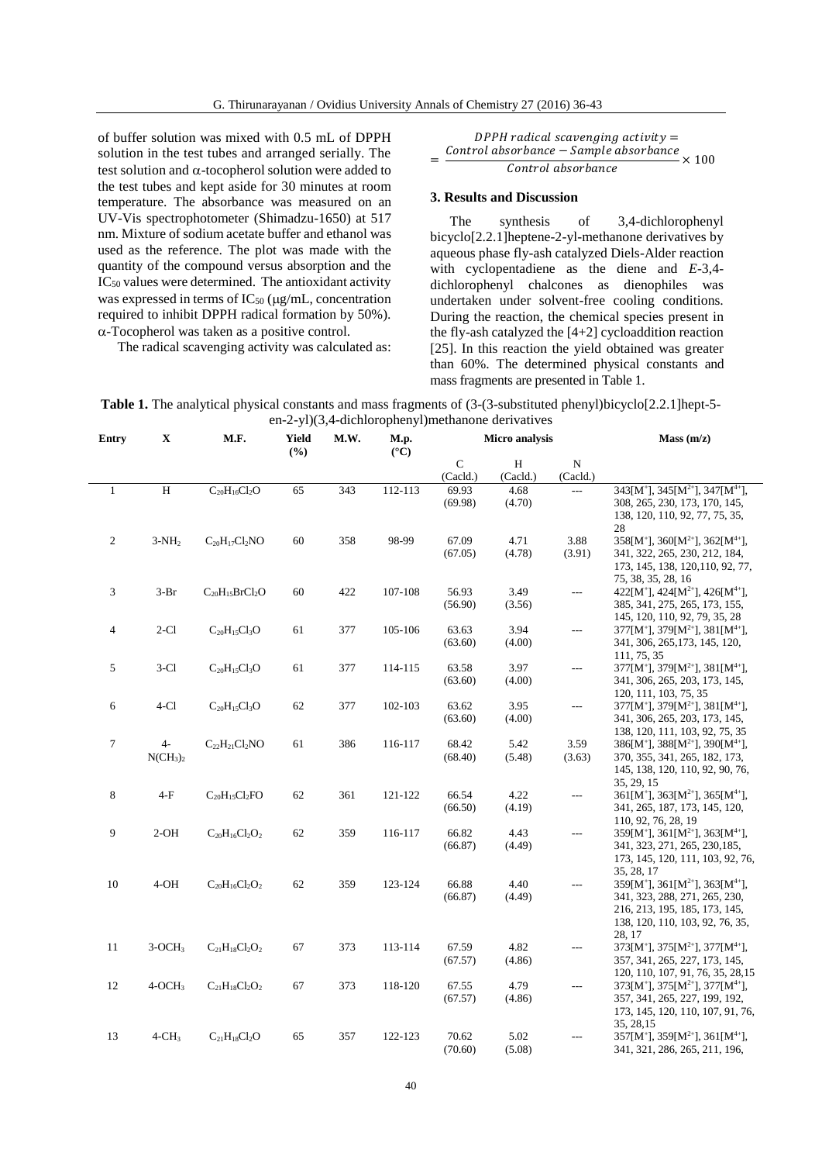of buffer solution was mixed with 0.5 mL of DPPH solution in the test tubes and arranged serially. The test solution and  $\alpha$ -tocopherol solution were added to the test tubes and kept aside for 30 minutes at room temperature. The absorbance was measured on an UV-Vis spectrophotometer (Shimadzu-1650) at 517 nm. Mixture of sodium acetate buffer and ethanol was used as the reference. The plot was made with the quantity of the compound versus absorption and the  $IC_{50}$  values were determined. The antioxidant activity was expressed in terms of  $IC_{50}$  ( $\mu$ g/mL, concentration required to inhibit DPPH radical formation by 50%).  $\alpha$ -Tocopherol was taken as a positive control.

The radical scavenging activity was calculated as:

 $DPPH$  radical scavenging activity = = Control absorbance - Sample absorbance  $\frac{1}{\text{Control absorbance}} \times 100$ 

#### **3. Results and Discussion**

The synthesis of 3,4-dichlorophenyl bicyclo[2.2.1]heptene-2-yl-methanone derivatives by aqueous phase fly-ash catalyzed Diels-Alder reaction with cyclopentadiene as the diene and *E*-3,4 dichlorophenyl chalcones as dienophiles was undertaken under solvent-free cooling conditions. During the reaction, the chemical species present in the fly-ash catalyzed the [4+2] cycloaddition reaction [25]. In this reaction the yield obtained was greater than 60%. The determined physical constants and mass fragments are presented in Table 1.

**Table 1.** The analytical physical constants and mass fragments of (3-(3-substituted phenyl)bicyclo[2.2.1]hept-5 en-2-yl)(3,4-dichlorophenyl)methanone derivatives

| <b>Entry</b>     | X                               | M.F.                  | Yield<br>(%) | M.W. | M.p.<br>$({}^{\circ}{\rm C})$ | Micro analysis |                |                | Mass(m/z)                                                           |
|------------------|---------------------------------|-----------------------|--------------|------|-------------------------------|----------------|----------------|----------------|---------------------------------------------------------------------|
|                  |                                 |                       |              |      |                               | $\mathsf{C}$   | H              | ${\bf N}$      |                                                                     |
|                  |                                 |                       |              |      |                               | (Cacld.)       | (Cacld.)       | (Cacld.)       |                                                                     |
| $\mathbf{1}$     | $\overline{H}$                  | $C_{20}H_{16}Cl_2O$   | 65           | 343  | 112-113                       | 69.93          | 4.68           | $\overline{a}$ | $343[M^+]$ , $345[M^{2+}]$ , $347[M^{4+}]$ ,                        |
|                  |                                 |                       |              |      |                               | (69.98)        | (4.70)         |                | 308, 265, 230, 173, 170, 145,                                       |
|                  |                                 |                       |              |      |                               |                |                |                | 138, 120, 110, 92, 77, 75, 35,                                      |
|                  |                                 |                       |              |      |                               |                |                |                | 28                                                                  |
| $\sqrt{2}$       | $3-NH2$                         | $C_{20}H_{17}Cl_2NO$  | 60           | 358  | 98-99                         | 67.09          | 4.71           | 3.88           | $358[M^+]$ , $360[M^{2+}]$ , $362[M^{4+}]$ ,                        |
|                  |                                 |                       |              |      |                               | (67.05)        | (4.78)         | (3.91)         | 341, 322, 265, 230, 212, 184,<br>173, 145, 138, 120, 110, 92, 77,   |
|                  |                                 |                       |              |      |                               |                |                |                | 75, 38, 35, 28, 16                                                  |
| $\mathfrak{Z}$   | $3-Br$                          | $C_{20}H_{15}BrCl_2O$ | 60           | 422  | 107-108                       | 56.93          | 3.49           | $\sim$ $\sim$  | 422[M <sup>+</sup> ], 424[M <sup>2+</sup> ], 426[M <sup>4+</sup> ], |
|                  |                                 |                       |              |      |                               | (56.90)        | (3.56)         |                | 385, 341, 275, 265, 173, 155,                                       |
|                  |                                 |                       |              |      |                               |                |                |                | 145, 120, 110, 92, 79, 35, 28                                       |
| $\overline{4}$   | $2-C1$                          | $C_{20}H_{15}Cl_3O$   | 61           | 377  | 105-106                       | 63.63          | 3.94           | $\overline{a}$ | $377[M^+]$ , $379[M^{2+}]$ , $381[M^{4+}]$ ,                        |
|                  |                                 |                       |              |      |                               | (63.60)        | (4.00)         |                | 341, 306, 265, 173, 145, 120,                                       |
|                  |                                 |                       |              |      |                               |                |                |                | 111, 75, 35                                                         |
| 5                | $3-C1$                          | $C_{20}H_{15}Cl_{3}O$ | 61           | 377  | 114-115                       | 63.58          | 3.97           | ---            | $377[M^+]$ , $379[M^{2+}]$ , $381[M^{4+}]$ ,                        |
|                  |                                 |                       |              |      |                               | (63.60)        | (4.00)         |                | 341, 306, 265, 203, 173, 145,                                       |
|                  |                                 |                       |              |      |                               |                |                |                | 120, 111, 103, 75, 35                                               |
| 6                | $4-C1$                          | $C_{20}H_{15}Cl_{3}O$ | 62           | 377  | 102-103                       | 63.62          | 3.95<br>(4.00) | $\overline{a}$ | $377[M^+]$ , $379[M^{2+}]$ , $381[M^{4+}]$ ,                        |
|                  |                                 |                       |              |      |                               | (63.60)        |                |                | 341, 306, 265, 203, 173, 145,<br>138, 120, 111, 103, 92, 75, 35     |
| $\boldsymbol{7}$ | $4-$                            | $C_{22}H_{21}Cl_2NO$  | 61           | 386  | 116-117                       | 68.42          | 5.42           | 3.59           | $386[M^+]$ , $388[M^{2+}]$ , $390[M^{4+}]$ ,                        |
|                  | NCH <sub>3</sub> ) <sub>2</sub> |                       |              |      |                               | (68.40)        | (5.48)         | (3.63)         | 370, 355, 341, 265, 182, 173,                                       |
|                  |                                 |                       |              |      |                               |                |                |                | 145, 138, 120, 110, 92, 90, 76,                                     |
|                  |                                 |                       |              |      |                               |                |                |                | 35, 29, 15                                                          |
| $\,8\,$          | $4-F$                           | $C_{20}H_{15}Cl_2FO$  | 62           | 361  | 121-122                       | 66.54          | 4.22           | $\overline{a}$ | $361[M^+]$ , $363[M^{2+}]$ , $365[M^{4+}]$ ,                        |
|                  |                                 |                       |              |      |                               | (66.50)        | (4.19)         |                | 341, 265, 187, 173, 145, 120,                                       |
|                  |                                 |                       |              |      |                               |                |                |                | 110, 92, 76, 28, 19                                                 |
| 9                | $2-OH$                          | $C_{20}H_{16}Cl_2O_2$ | 62           | 359  | 116-117                       | 66.82          | 4.43           | ---            | $359[M^+]$ , $361[M^{2+}]$ , $363[M^{4+}]$ ,                        |
|                  |                                 |                       |              |      |                               | (66.87)        | (4.49)         |                | 341, 323, 271, 265, 230, 185,                                       |
|                  |                                 |                       |              |      |                               |                |                |                | 173, 145, 120, 111, 103, 92, 76,<br>35, 28, 17                      |
| 10               | $4-OH$                          | $C_{20}H_{16}Cl_2O_2$ | 62           | 359  | 123-124                       | 66.88          | 4.40           | ---            | $359[M^+]$ , $361[M^{2+}]$ , $363[M^{4+}]$ ,                        |
|                  |                                 |                       |              |      |                               | (66.87)        | (4.49)         |                | 341, 323, 288, 271, 265, 230,                                       |
|                  |                                 |                       |              |      |                               |                |                |                | 216, 213, 195, 185, 173, 145,                                       |
|                  |                                 |                       |              |      |                               |                |                |                | 138, 120, 110, 103, 92, 76, 35,                                     |
|                  |                                 |                       |              |      |                               |                |                |                | 28.17                                                               |
| 11               | $3-OCH3$                        | $C_{21}H_{18}Cl_2O_2$ | 67           | 373  | 113-114                       | 67.59          | 4.82           | $\overline{a}$ | $373[M^+]$ , $375[M^{2+}]$ , $377[M^{4+}]$ ,                        |
|                  |                                 |                       |              |      |                               | (67.57)        | (4.86)         |                | 357, 341, 265, 227, 173, 145,                                       |
|                  |                                 |                       |              |      |                               |                |                |                | 120, 110, 107, 91, 76, 35, 28, 15                                   |
| 12               | $4-OCH3$                        | $C_{21}H_{18}Cl_2O_2$ | 67           | 373  | 118-120                       | 67.55          | 4.79           | ---            | $373[M^+]$ , $375[M^{2+}]$ , $377[M^{4+}]$ ,                        |
|                  |                                 |                       |              |      |                               | (67.57)        | (4.86)         |                | 357, 341, 265, 227, 199, 192,                                       |
|                  |                                 |                       |              |      |                               |                |                |                | 173, 145, 120, 110, 107, 91, 76,                                    |
| 13               | $4$ -CH <sub>3</sub>            | $C_{21}H_{18}Cl_2O$   | 65           | 357  | 122-123                       | 70.62          | 5.02           | $---$          | 35, 28, 15<br>$357[M^+]$ , $359[M^{2+}]$ , $361[M^{4+}]$ ,          |
|                  |                                 |                       |              |      |                               | (70.60)        | (5.08)         |                | 341, 321, 286, 265, 211, 196,                                       |
|                  |                                 |                       |              |      |                               |                |                |                |                                                                     |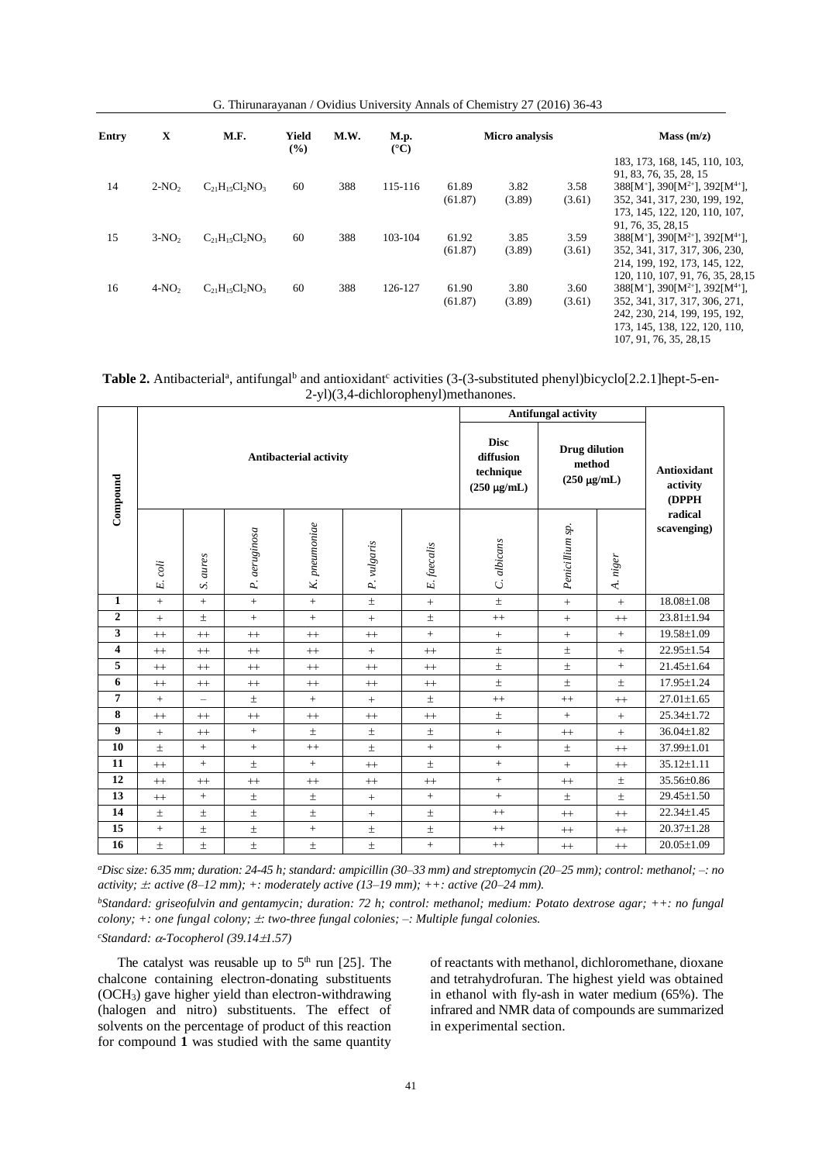G. Thirunarayanan / Ovidius University Annals of Chemistry 27 (2016) 36-43

| <b>Entry</b> | X       | M.F.                   | Yield<br>$($ %) | M.W. | <b>M.p.</b><br>$(^{\circ}C)$ | <b>Micro analysis</b> |                |                | Mass(m/z)                                                                                                                                                                  |  |
|--------------|---------|------------------------|-----------------|------|------------------------------|-----------------------|----------------|----------------|----------------------------------------------------------------------------------------------------------------------------------------------------------------------------|--|
| 14           | $2-NO2$ | $C_{21}H_{15}Cl_2NO_3$ | 60              | 388  | 115-116                      | 61.89                 | 3.82           | 3.58           | 183, 173, 168, 145, 110, 103,<br>91, 83, 76, 35, 28, 15<br>$388[M^+]$ , $390[M^{2+}]$ , $392[M^{4+}]$ ,                                                                    |  |
|              |         |                        |                 |      |                              | (61.87)               | (3.89)         | (3.61)         | 352, 341, 317, 230, 199, 192,<br>173, 145, 122, 120, 110, 107,<br>91, 76, 35, 28, 15                                                                                       |  |
| 15           | $3-NO2$ | $C_{21}H_{15}Cl_2NO_3$ | 60              | 388  | 103-104                      | 61.92<br>(61.87)      | 3.85<br>(3.89) | 3.59<br>(3.61) | $388[M^+]$ , $390[M^{2+}]$ , $392[M^{4+}]$ ,<br>352, 341, 317, 317, 306, 230,<br>214, 199, 192, 173, 145, 122,<br>120, 110, 107, 91, 76, 35, 28, 15                        |  |
| 16           | $4-NO2$ | $C_{21}H_{15}Cl_2NO_3$ | 60              | 388  | 126-127                      | 61.90<br>(61.87)      | 3.80<br>(3.89) | 3.60<br>(3.61) | $388[M^+]$ , $390[M^{2+}]$ , $392[M^{4+}]$ ,<br>352, 341, 317, 317, 306, 271,<br>242, 230, 214, 199, 195, 192,<br>173, 145, 138, 122, 120, 110,<br>107, 91, 76, 35, 28, 15 |  |

Table 2. Antibacterial<sup>a</sup>, antifungal<sup>b</sup> and antioxidant<sup>c</sup> activities (3-(3-substituted phenyl)bicyclo[2.2.1]hept-5-en-2-yl)(3,4-dichlorophenyl)methanones.

|                         |             |                          |               |                               |             | <b>Antifungal activity</b>                                |                                                    |                 |                                  |                        |
|-------------------------|-------------|--------------------------|---------------|-------------------------------|-------------|-----------------------------------------------------------|----------------------------------------------------|-----------------|----------------------------------|------------------------|
| Compound                |             |                          |               | <b>Antibacterial activity</b> |             | <b>Disc</b><br>diffusion<br>technique<br>$(250 \mu g/mL)$ | <b>Drug dilution</b><br>method<br>$(250 \mu g/mL)$ |                 | Antioxidant<br>activity<br>(DPPH |                        |
|                         | coli<br>Ŀj. | aures<br>S               | P. aeruginosa | K. pneumoniae                 | P. vulgaris | E. faecalis                                               | C. albicans                                        | Penicillium sp. | A. niger                         | radical<br>scavenging) |
| 1                       | $+$         | $+$                      | $+$           | $+$                           | $\pm$       | $+$                                                       | $\pm$                                              | $+$             | $^{+}$                           | $18.08 \pm 1.08$       |
| $\boldsymbol{2}$        | $+$         | $\pm$                    | $+$           | $+$                           | $+$         | $\pm$                                                     | $^{++}$                                            | $+$             | $^{++}$                          | 23.81±1.94             |
| 3                       | $+$         | $^{++}$                  | $++$          | $^{++}$                       | $^{++}$     | $\qquad \qquad +$                                         | $\pm$                                              | $+$             | $+$                              | 19.58±1.09             |
| $\overline{\mathbf{4}}$ | $^{++}$     | $^{++}$                  | $++$          | $^{++}$                       | $+$         | $^{++}$                                                   | $\pm$                                              | $\pm$           | $+$                              | 22.95±1.54             |
| 5                       | $+$         | $^{++}$                  | $++$          | $^{++}$                       | $^{++}$     | $^{++}$                                                   | $\pm$                                              | $\pm$           | $+$                              | 21.45±1.64             |
| 6                       | $^{++}$     | $^{++}$                  | $++$          | $^{++}$                       | $++$        | $^{++}$                                                   | $\pm$                                              | $\pm$           | $\pm$                            | 17.95±1.24             |
| 7                       | $+$         | $\overline{\phantom{a}}$ | $\pm$         | $+$                           | $+$         | $\pm$                                                     | $^{++}$                                            | $^{++}$         | $++$                             | $27.01 \pm 1.65$       |
| 8                       | $+$         | $^{++}$                  | $++$          | $++$                          | $++$        | $^{++}$                                                   | $\pm$                                              | $+$             | $+$                              | 25.34±1.72             |
| 9                       | $+$         | $^{++}$                  | $+$           | $\pm$                         | $\pm$       | $\pm$                                                     | $\pm$                                              | $++$            | $+$                              | $36.04 \pm 1.82$       |
| 10                      | $\pm$       | $\pm$                    | $+$           | $++$                          | $\pm$       | $\qquad \qquad +$                                         | $\, +$                                             | $\pm$           | $^{++}$                          | 37.99±1.01             |
| 11                      | $^{++}$     | $+$                      | $\pm$         | $+$                           | $++$        | $\pm$                                                     | $+$                                                | $+$             | $^{++}$                          | $35.12 \pm 1.11$       |
| 12                      | $+$         | $++$                     | $++$          | $^{++}$                       | $++$        | $^{++}$                                                   | $\pm$                                              | $^{++}$         | $\pm$                            | 35.56±0.86             |
| 13                      | $^{++}$     | $+$                      | $\pm$         | $\pm$                         | $+$         | $+$                                                       | $+$                                                | $\pm$           | $\pm$                            | $29.45 \pm 1.50$       |
| 14                      | $\pm$       | $\pm$                    | $\pm$         | $\pm$                         | $+$         | $\pm$                                                     | $^{++}$                                            | $++$            | $++$                             | $22.34 \pm 1.45$       |
| 15                      | $+$         | $\pm$                    | $\pm$         | $+$                           | $\pm$       | $\pm$                                                     | $^{++}$                                            | $++$            | $++$                             | $20.37 \pm 1.28$       |
| 16                      | $\pm$       | $\pm$                    | $\pm$         | $\pm$                         | $\pm$       | $+$                                                       | $^{++}$                                            | $++$            | $++$                             | 20.05±1.09             |

*<sup>a</sup>Disc size: 6.35 mm; duration: 24-45 h; standard: ampicillin (30–33 mm) and streptomycin (20–25 mm); control: methanol; –: no activity;*  $\pm$ *: active* (8–12 mm);  $+$ *: moderately active* (13–19 mm);  $++$ *: active* (20–24 mm).

*<sup>b</sup>Standard: griseofulvin and gentamycin; duration: 72 h; control: methanol; medium: Potato dextrose agar; ++: no fungal colony; +: one fungal colony; : two-three fungal colonies; –: Multiple fungal colonies.*

*<sup>c</sup>Standard: -Tocopherol (39.141.57)*

The catalyst was reusable up to  $5<sup>th</sup>$  run [25]. The chalcone containing electron-donating substituents (OCH3) gave higher yield than electron-withdrawing (halogen and nitro) substituents. The effect of solvents on the percentage of product of this reaction for compound **1** was studied with the same quantity

of reactants with methanol, dichloromethane, dioxane and tetrahydrofuran. The highest yield was obtained in ethanol with fly-ash in water medium (65%). The infrared and NMR data of compounds are summarized in experimental section.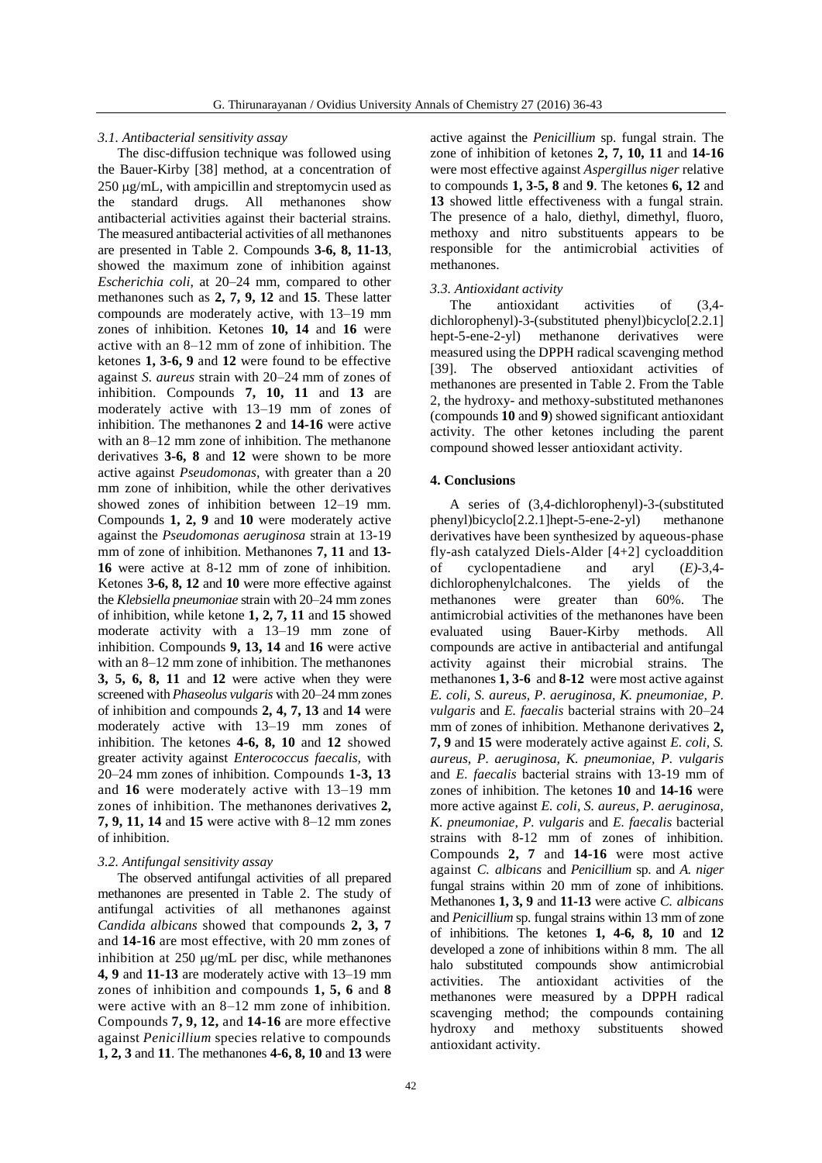## *3.1. Antibacterial sensitivity assay*

The disc-diffusion technique was followed using the Bauer-Kirby [38] method, at a concentration of  $250 \mu g/mL$ , with ampicillin and streptomycin used as the standard drugs. All methanones show antibacterial activities against their bacterial strains. The measured antibacterial activities of all methanones are presented in Table 2. Compounds **3-6, 8, 11-13**, showed the maximum zone of inhibition against *Escherichia coli*, at 20–24 mm, compared to other methanones such as **2, 7, 9, 12** and **15**. These latter compounds are moderately active, with 13–19 mm zones of inhibition. Ketones **10, 14** and **16** were active with an 8–12 mm of zone of inhibition. The ketones **1, 3-6, 9** and **12** were found to be effective against *S. aureus* strain with 20–24 mm of zones of inhibition. Compounds **7, 10, 11** and **13** are moderately active with 13–19 mm of zones of inhibition. The methanones **2** and **14-16** were active with an 8–12 mm zone of inhibition. The methanone derivatives **3-6, 8** and **12** were shown to be more active against *Pseudomonas,* with greater than a 20 mm zone of inhibition, while the other derivatives showed zones of inhibition between 12–19 mm. Compounds **1, 2, 9** and **10** were moderately active against the *Pseudomonas aeruginosa* strain at 13-19 mm of zone of inhibition. Methanones **7, 11** and **13- 16** were active at 8-12 mm of zone of inhibition. Ketones **3-6, 8, 12** and **10** were more effective against the *Klebsiella pneumoniae* strain with 20–24 mm zones of inhibition, while ketone **1, 2, 7, 11** and **15** showed moderate activity with a 13–19 mm zone of inhibition. Compounds **9, 13, 14** and **16** were active with an 8–12 mm zone of inhibition. The methanones **3, 5, 6, 8, 11** and **12** were active when they were screened with *Phaseolus vulgaris* with 20–24 mm zones of inhibition and compounds **2, 4, 7, 13** and **14** were moderately active with 13–19 mm zones of inhibition. The ketones **4-6, 8, 10** and **12** showed greater activity against *Enterococcus faecalis,* with 20–24 mm zones of inhibition. Compounds **1-3, 13** and **16** were moderately active with 13–19 mm zones of inhibition. The methanones derivatives **2, 7, 9, 11, 14** and **15** were active with 8–12 mm zones of inhibition.

#### *3.2. Antifungal sensitivity assay*

The observed antifungal activities of all prepared methanones are presented in Table 2. The study of antifungal activities of all methanones against *Candida albicans* showed that compounds **2, 3, 7**  and **14-16** are most effective, with 20 mm zones of inhibition at  $250 \mu g/mL$  per disc, while methanones **4, 9** and **11-13** are moderately active with 13–19 mm zones of inhibition and compounds **1, 5, 6** and **8**  were active with an 8–12 mm zone of inhibition. Compounds **7, 9, 12,** and **14-16** are more effective against *Penicillium* species relative to compounds **1, 2, 3** and **11**. The methanones **4-6, 8, 10** and **13** were active against the *Penicillium* sp. fungal strain. The zone of inhibition of ketones **2, 7, 10, 11** and **14-16**  were most effective against *Aspergillus niger* relative to compounds **1, 3-5, 8** and **9**. The ketones **6, 12** and **13** showed little effectiveness with a fungal strain. The presence of a halo, diethyl, dimethyl, fluoro, methoxy and nitro substituents appears to be responsible for the antimicrobial activities of methanones.

### *3.3. Antioxidant activity*

The antioxidant activities of  $(3,4$ dichlorophenyl)-3-(substituted phenyl)bicyclo[2.2.1] hept-5-ene-2-yl) methanone derivatives were measured using the DPPH radical scavenging method [39]. The observed antioxidant activities of methanones are presented in Table 2. From the Table 2, the hydroxy- and methoxy-substituted methanones (compounds **10** and **9**) showed significant antioxidant activity. The other ketones including the parent compound showed lesser antioxidant activity.

### **4. Conclusions**

A series of (3,4-dichlorophenyl)-3-(substituted phenyl)bicyclo[2.2.1]hept-5-ene-2-yl) methanone derivatives have been synthesized by aqueous-phase fly-ash catalyzed Diels-Alder  $[4+2]$  cycloaddition<br>of cyclopentadiene and arvl  $(E)$ -3.4cyclopentadiene and aryl  $(E)$ -3,4-<br>rophenylchalcones. The yields of the dichlorophenylchalcones. The yields of the methanones were greater than 60%. The antimicrobial activities of the methanones have been evaluated using Bauer-Kirby methods. All compounds are active in antibacterial and antifungal activity against their microbial strains. The methanones **1, 3-6** and **8-12** were most active against *E. coli, S. aureus, P. aeruginosa, K. pneumoniae, P. vulgaris* and *E. faecalis* bacterial strains with 20–24 mm of zones of inhibition. Methanone derivatives **2, 7, 9** and **15** were moderately active against *E. coli, S. aureus, P. aeruginosa, K. pneumoniae, P. vulgaris* and *E. faecalis* bacterial strains with 13-19 mm of zones of inhibition. The ketones **10** and **14-16** were more active against *E. coli, S. aureus, P. aeruginosa, K. pneumoniae, P. vulgaris* and *E. faecalis* bacterial strains with 8-12 mm of zones of inhibition. Compounds **2, 7** and **14-16** were most active against *C. albicans* and *Penicillium* sp. and *A. niger* fungal strains within 20 mm of zone of inhibitions. Methanones **1, 3, 9** and **11-13** were active *C. albicans*  and *Penicillium* sp. fungal strains within 13 mm of zone of inhibitions. The ketones **1, 4-6, 8, 10** and **12** developed a zone of inhibitions within 8 mm. The all halo substituted compounds show antimicrobial activities. The antioxidant activities of the methanones were measured by a DPPH radical scavenging method; the compounds containing hydroxy and methoxy substituents showed antioxidant activity.